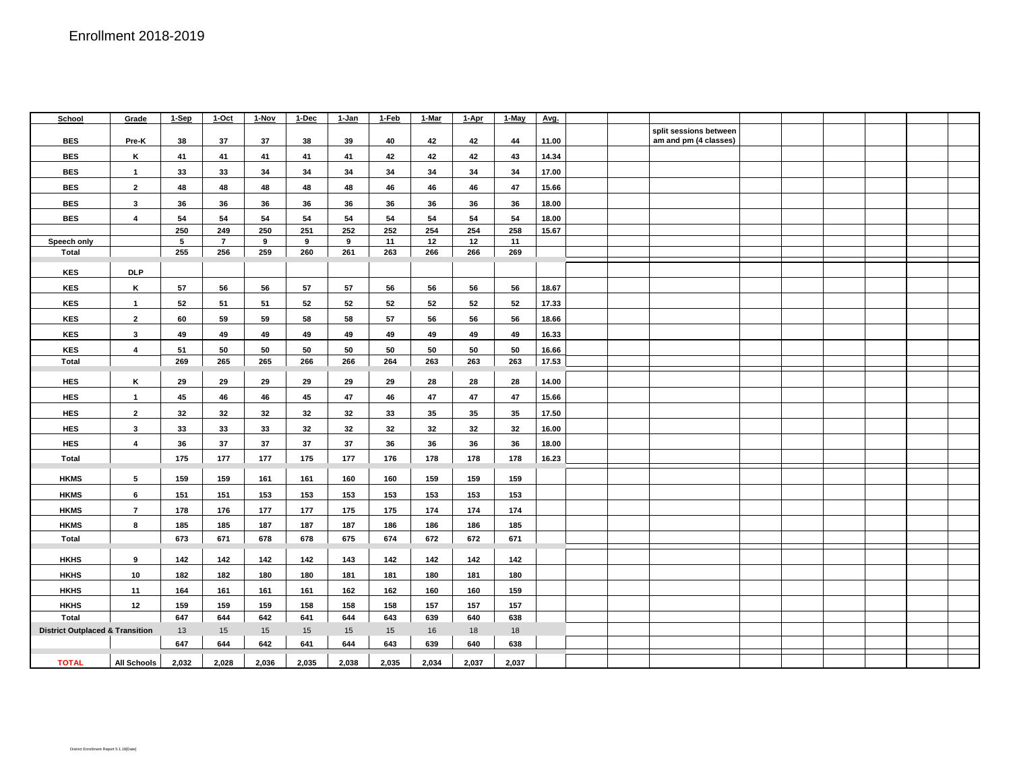| School                                     | Grade          | 1-Sep      | 1-Oct          | 1-Nov      | 1-Dec      | 1-Jan      | 1-Feb      | 1-Mar      | 1-Apr      | 1-May      | Avg.  |  |                        |  |  |  |
|--------------------------------------------|----------------|------------|----------------|------------|------------|------------|------------|------------|------------|------------|-------|--|------------------------|--|--|--|
|                                            |                |            |                |            |            |            |            |            |            |            |       |  | split sessions between |  |  |  |
| <b>BES</b>                                 | Pre-K          | 38         | 37             | 37         | 38         | 39         | 40         | 42         | 42         | 44         | 11.00 |  | am and pm (4 classes)  |  |  |  |
| <b>BES</b>                                 | Κ              | 41         | 41             | 41         | 41         | 41         | 42         | 42         | 42         | 43         | 14.34 |  |                        |  |  |  |
| <b>BES</b>                                 | $\mathbf{1}$   | 33         | 33             | 34         | 34         | 34         | 34         | 34         | 34         | 34         | 17.00 |  |                        |  |  |  |
| <b>BES</b>                                 | $\overline{2}$ | 48         | 48             | 48         | 48         | 48         | 46         | 46         | 46         | 47         | 15.66 |  |                        |  |  |  |
| <b>BES</b>                                 | 3              | 36         | 36             | 36         | 36         | 36         | 36         | 36         | 36         | 36         | 18.00 |  |                        |  |  |  |
| <b>BES</b>                                 | 4              | 54         | 54             | 54         | 54         | 54         | 54         | 54         | 54         | 54         | 18.00 |  |                        |  |  |  |
|                                            |                | 250        | 249            | 250        | 251        | 252        | 252        | 254        | 254        | 258        | 15.67 |  |                        |  |  |  |
| Speech only                                |                | 5          | $\overline{7}$ | 9          | 9          | 9          | 11         | 12         | 12         | 11         |       |  |                        |  |  |  |
| <b>Total</b>                               |                | 255        | 256            | 259        | 260        | 261        | 263        | 266        | 266        | 269        |       |  |                        |  |  |  |
| <b>KES</b>                                 | <b>DLP</b>     |            |                |            |            |            |            |            |            |            |       |  |                        |  |  |  |
| <b>KES</b>                                 | Κ              | 57         | 56             | 56         | 57         | 57         | 56         | 56         | 56         | 56         | 18.67 |  |                        |  |  |  |
| <b>KES</b>                                 | $\mathbf{1}$   | 52         | 51             | 51         | 52         | 52         | 52         | 52         | 52         | 52         | 17.33 |  |                        |  |  |  |
| <b>KES</b>                                 | $\mathbf{2}$   | 60         | 59             | 59         | 58         | 58         | 57         | 56         | 56         | 56         | 18.66 |  |                        |  |  |  |
| <b>KES</b>                                 | 3              | 49         | 49             | 49         | 49         | 49         | 49         | 49         | 49         | 49         | 16.33 |  |                        |  |  |  |
| <b>KES</b>                                 | 4              | 51         | 50             | 50         | 50         | 50         | 50         | 50         | 50         | 50         | 16.66 |  |                        |  |  |  |
| Total                                      |                | 269        | 265            | 265        | 266        | 266        | 264        | 263        | 263        | 263        | 17.53 |  |                        |  |  |  |
|                                            |                |            |                |            |            |            |            |            |            |            |       |  |                        |  |  |  |
| <b>HES</b>                                 | Κ              | 29         | 29             | 29         | 29         | 29         | 29         | 28         | 28         | 28         | 14.00 |  |                        |  |  |  |
| <b>HES</b>                                 | $\mathbf{1}$   | 45         | 46             | 46         | 45         | 47         | 46         | 47         | 47         | 47         | 15.66 |  |                        |  |  |  |
| <b>HES</b>                                 | $\overline{2}$ | 32         | 32             | 32         | 32         | 32         | 33         | 35         | 35         | 35         | 17.50 |  |                        |  |  |  |
| <b>HES</b>                                 | 3              | 33         | 33             | 33         | 32         | 32         | 32         | 32         | 32         | 32         | 16.00 |  |                        |  |  |  |
| <b>HES</b>                                 | 4              | 36         | 37             | 37         | 37         | 37         | 36         | 36         | 36         | 36         | 18.00 |  |                        |  |  |  |
| <b>Total</b>                               |                | 175        | 177            | 177        | 175        | 177        | 176        | 178        | 178        | 178        | 16.23 |  |                        |  |  |  |
| <b>HKMS</b>                                | 5              | 159        | 159            | 161        | 161        | 160        | 160        | 159        | 159        | 159        |       |  |                        |  |  |  |
| <b>HKMS</b>                                | 6              | 151        | 151            | 153        | 153        | 153        | 153        | 153        | 153        | 153        |       |  |                        |  |  |  |
| <b>HKMS</b>                                | $\overline{7}$ | 178        | 176            | 177        | 177        | 175        | 175        | 174        | 174        | 174        |       |  |                        |  |  |  |
| <b>HKMS</b>                                | 8              | 185        | 185            | 187        | 187        | 187        | 186        | 186        | 186        | 185        |       |  |                        |  |  |  |
| <b>Total</b>                               |                | 673        | 671            | 678        | 678        | 675        | 674        | 672        | 672        | 671        |       |  |                        |  |  |  |
| <b>HKHS</b>                                | 9              | 142        | 142            | 142        | 142        | 143        | 142        | 142        | 142        | 142        |       |  |                        |  |  |  |
| <b>HKHS</b>                                | 10             | 182        | 182            | 180        | 180        | 181        |            | 180        | 181        |            |       |  |                        |  |  |  |
| <b>HKHS</b>                                | 11             | 164        | 161            | 161        | 161        | 162        | 181<br>162 | 160        | 160        | 180<br>159 |       |  |                        |  |  |  |
|                                            |                |            |                |            |            |            |            |            |            |            |       |  |                        |  |  |  |
| <b>HKHS</b><br>Total                       | 12             | 159<br>647 | 159<br>644     | 159<br>642 | 158<br>641 | 158<br>644 | 158<br>643 | 157<br>639 | 157<br>640 | 157<br>638 |       |  |                        |  |  |  |
|                                            |                |            |                |            |            |            |            |            |            |            |       |  |                        |  |  |  |
| <b>District Outplaced &amp; Transition</b> |                | 13         | 15             | 15         | 15         | 15         | 15         | 16         | 18         | 18         |       |  |                        |  |  |  |
|                                            |                | 647        | 644            | 642        | 641        | 644        | 643        | 639        | 640        | 638        |       |  |                        |  |  |  |
| <b>TOTAL</b>                               | All Schools    | 2,032      | 2,028          | 2,036      | 2,035      | 2,038      | 2,035      | 2,034      | 2,037      | 2,037      |       |  |                        |  |  |  |